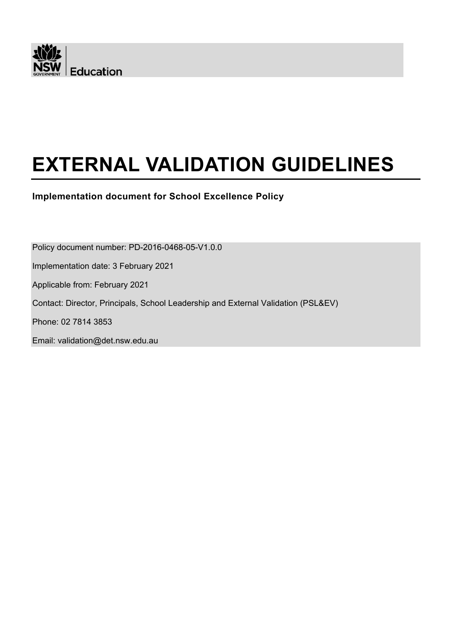

# **EXTERNAL VALIDATION GUIDELINES**

**Implementation document for School Excellence Policy**

Policy document number: PD-2016-0468-05-V1.0.0

Implementation date: 3 February 2021

Applicable from: February 2021

Contact: Director, Principals, School Leadership and External Validation (PSL&EV)

Phone: 02 7814 3853

Email: validation@det.nsw.edu.au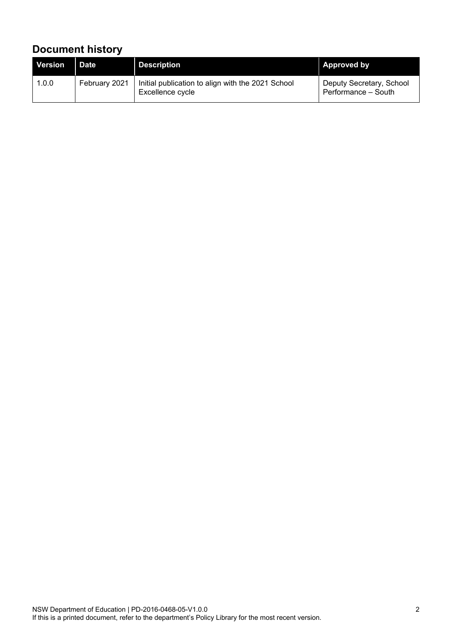# <span id="page-1-0"></span>**Document history**

| <b>Version</b> | <b>Date</b>   | <b>Description</b>                                                    | <b>Approved by</b>                              |
|----------------|---------------|-----------------------------------------------------------------------|-------------------------------------------------|
| 1.0.0          | February 2021 | Initial publication to align with the 2021 School<br>Excellence cycle | Deputy Secretary, School<br>Performance - South |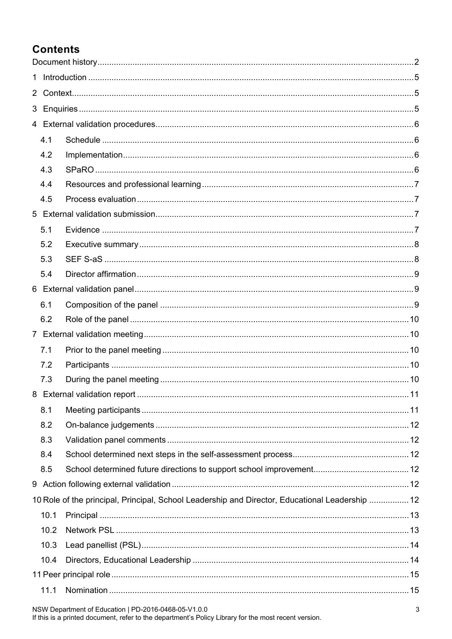# **Contents**

| $\mathbf{1}$ |      |                                                                                                 |  |  |
|--------------|------|-------------------------------------------------------------------------------------------------|--|--|
|              |      |                                                                                                 |  |  |
|              |      |                                                                                                 |  |  |
|              |      |                                                                                                 |  |  |
|              | 4.1  |                                                                                                 |  |  |
|              | 4.2  |                                                                                                 |  |  |
|              | 4.3  |                                                                                                 |  |  |
|              | 4.4  |                                                                                                 |  |  |
|              | 4.5  |                                                                                                 |  |  |
|              |      |                                                                                                 |  |  |
|              | 5.1  |                                                                                                 |  |  |
|              | 5.2  |                                                                                                 |  |  |
|              | 5.3  |                                                                                                 |  |  |
|              | 5.4  |                                                                                                 |  |  |
|              |      |                                                                                                 |  |  |
|              | 6.1  |                                                                                                 |  |  |
|              | 6.2  |                                                                                                 |  |  |
|              |      |                                                                                                 |  |  |
|              | 7.1  |                                                                                                 |  |  |
|              | 7.2  |                                                                                                 |  |  |
|              | 7.3  |                                                                                                 |  |  |
|              |      |                                                                                                 |  |  |
|              | 8.1  |                                                                                                 |  |  |
|              | 8.2  |                                                                                                 |  |  |
|              | 8.3  |                                                                                                 |  |  |
|              | 8.4  |                                                                                                 |  |  |
|              | 8.5  |                                                                                                 |  |  |
|              |      |                                                                                                 |  |  |
|              |      | 10 Role of the principal, Principal, School Leadership and Director, Educational Leadership  12 |  |  |
|              | 10.1 |                                                                                                 |  |  |
|              | 10.2 |                                                                                                 |  |  |
|              | 10.3 |                                                                                                 |  |  |
|              | 10.4 |                                                                                                 |  |  |
|              |      |                                                                                                 |  |  |
|              | 11.1 |                                                                                                 |  |  |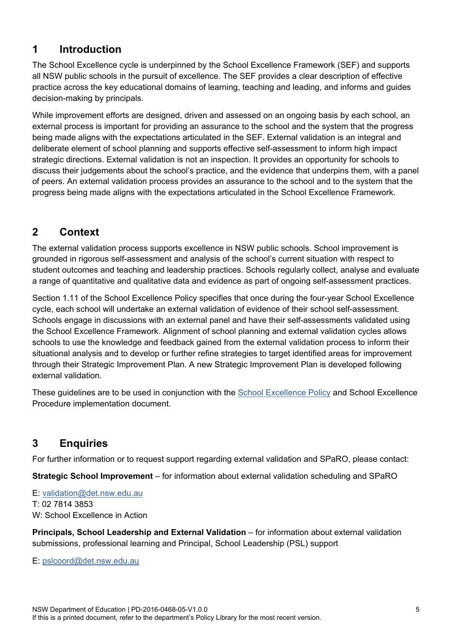## <span id="page-4-0"></span>**1 Introduction**

The School Excellence cycle is underpinned by the School Excellence Framework (SEF) and supports all NSW public schools in the pursuit of excellence. The SEF provides a clear description of effective practice across the key educational domains of learning, teaching and leading, and informs and guides decision-making by principals.

While improvement efforts are designed, driven and assessed on an ongoing basis by each school, an external process is important for providing an assurance to the school and the system that the progress being made aligns with the expectations articulated in the SEF. External validation is an integral and deliberate element of school planning and supports effective self-assessment to inform high impact strategic directions. External validation is not an inspection. It provides an opportunity for schools to discuss their judgements about the school's practice, and the evidence that underpins them, with a panel of peers. An external validation process provides an assurance to the school and to the system that the progress being made aligns with the expectations articulated in the School Excellence Framework.

# <span id="page-4-1"></span>**2 Context**

The external validation process supports excellence in NSW public schools. School improvement is grounded in rigorous self-assessment and analysis of the school's current situation with respect to student outcomes and teaching and leadership practices. Schools regularly collect, analyse and evaluate a range of quantitative and qualitative data and evidence as part of ongoing self-assessment practices.

Section 1.11 of the School Excellence Policy specifies that once during the four-year School Excellence cycle, each school will undertake an external validation of evidence of their school self-assessment. Schools engage in discussions with an external panel and have their self-assessments validated using the School Excellence Framework. Alignment of school planning and external validation cycles allows schools to use the knowledge and feedback gained from the external validation process to inform their situational analysis and to develop or further refine strategies to target identified areas for improvement through their Strategic Improvement Plan. A new Strategic Improvement Plan is developed following external validation.

These guidelines are to be used in conjunction with the **School Excellence Policy** and School Excellence Procedure implementation document.

## <span id="page-4-2"></span>**3 Enquiries**

For further information or to request support regarding external validation and SPaRO, please contact:

**Strategic School Improvement** – for information about external validation scheduling and SPaRO

- E: [validation@det.nsw.edu.au](mailto:validation@det.nsw.edu.au)
- T: 02 7814 3853
- W: School Excellence in Action

**Principals, School Leadership and External Validation** – for information about external validation submissions, professional learning and Principal, School Leadership (PSL) support

E: [pslcoord@det.nsw.edu.au](mailto:pslcoord@det.nsw.edu.au)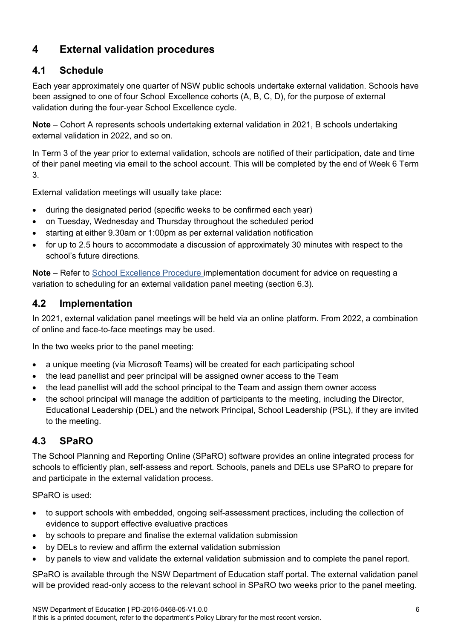## <span id="page-5-0"></span>**4 External validation procedures**

#### <span id="page-5-1"></span>**4.1 Schedule**

Each year approximately one quarter of NSW public schools undertake external validation. Schools have been assigned to one of four School Excellence cohorts (A, B, C, D), for the purpose of external validation during the four-year School Excellence cycle.

**Note** – Cohort A represents schools undertaking external validation in 2021, B schools undertaking external validation in 2022, and so on.

In Term 3 of the year prior to external validation, schools are notified of their participation, date and time of their panel meeting via email to the school account. This will be completed by the end of Week 6 Term 3.

External validation meetings will usually take place:

- during the designated period (specific weeks to be confirmed each year)
- on Tuesday, Wednesday and Thursday throughout the scheduled period
- starting at either 9.30am or 1:00pm as per external validation notification
- for up to 2.5 hours to accommodate a discussion of approximately 30 minutes with respect to the school's future directions.

**Note** – Refer to [School Excellence Procedure i](https://policies.education.nsw.gov.au/policy-library/policies/school-excellence-policy)mplementation document for advice on requesting a variation to scheduling for an external validation panel meeting (section 6.3).

#### <span id="page-5-2"></span>**4.2 Implementation**

In 2021, external validation panel meetings will be held via an online platform. From 2022, a combination of online and face-to-face meetings may be used.

In the two weeks prior to the panel meeting:

- a unique meeting (via Microsoft Teams) will be created for each participating school
- the lead panellist and peer principal will be assigned owner access to the Team
- the lead panellist will add the school principal to the Team and assign them owner access
- the school principal will manage the addition of participants to the meeting, including the Director, Educational Leadership (DEL) and the network Principal, School Leadership (PSL), if they are invited to the meeting.

#### <span id="page-5-3"></span>**4.3 SPaRO**

The School Planning and Reporting Online (SPaRO) software provides an online integrated process for schools to efficiently plan, self-assess and report. Schools, panels and DELs use SPaRO to prepare for and participate in the external validation process.

SPaRO is used:

- to support schools with embedded, ongoing self-assessment practices, including the collection of evidence to support effective evaluative practices
- by schools to prepare and finalise the external validation submission
- by DELs to review and affirm the external validation submission
- by panels to view and validate the external validation submission and to complete the panel report.

SPaRO is available through the NSW Department of Education staff portal. The external validation panel will be provided read-only access to the relevant school in SPaRO two weeks prior to the panel meeting.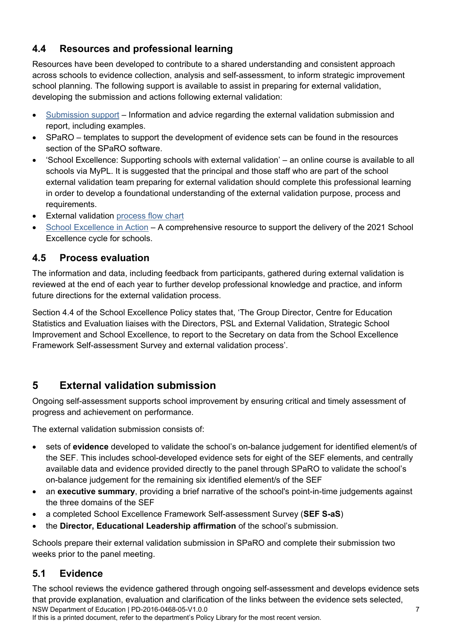#### <span id="page-6-0"></span>**4.4 Resources and professional learning**

Resources have been developed to contribute to a shared understanding and consistent approach across schools to evidence collection, analysis and self-assessment, to inform strategic improvement school planning. The following support is available to assist in preparing for external validation, developing the submission and actions following external validation:

- [Submission support](https://education.nsw.gov.au/teaching-and-learning/school-excellence-and-accountability/self-assessment/submission-support) Information and advice regarding the external validation submission and report, including examples.
- SPaRO templates to support the development of evidence sets can be found in the resources section of the SPaRO software.
- 'School Excellence: Supporting schools with external validation' an online course is available to all schools via MyPL. It is suggested that the principal and those staff who are part of the school external validation team preparing for external validation should complete this professional learning in order to develop a foundational understanding of the external validation purpose, process and requirements.
- External validation [process flow chart](https://education.nsw.gov.au/teaching-and-learning/school-excellence-and-accountability/2021-school-excellence-in-action/resources)
- [School Excellence in Action](https://education.nsw.gov.au/teaching-and-learning/school-excellence-and-accountability/2021-school-excellence-in-action) A comprehensive resource to support the delivery of the 2021 School Excellence cycle for schools.

#### <span id="page-6-1"></span>**4.5 Process evaluation**

The information and data, including feedback from participants, gathered during external validation is reviewed at the end of each year to further develop professional knowledge and practice, and inform future directions for the external validation process.

Section 4.4 of the School Excellence Policy states that, 'The Group Director, Centre for Education Statistics and Evaluation liaises with the Directors, PSL and External Validation, Strategic School Improvement and School Excellence, to report to the Secretary on data from the School Excellence Framework Self-assessment Survey and external validation process'.

# <span id="page-6-2"></span>**5 External validation submission**

Ongoing self-assessment supports school improvement by ensuring critical and timely assessment of progress and achievement on performance.

The external validation submission consists of:

- sets of **evidence** developed to validate the school's on-balance judgement for identified element/s of the SEF. This includes school-developed evidence sets for eight of the SEF elements, and centrally available data and evidence provided directly to the panel through SPaRO to validate the school's on-balance judgement for the remaining six identified element/s of the SEF
- an **executive summary**, providing a brief narrative of the school's point-in-time judgements against the three domains of the SEF
- a completed School Excellence Framework Self-assessment Survey (**SEF S-aS**)
- the **Director, Educational Leadership affirmation** of the school's submission.

Schools prepare their external validation submission in SPaRO and complete their submission two weeks prior to the panel meeting.

## <span id="page-6-3"></span>**5.1 Evidence**

NSW Department of Education | PD-2016-0468-05-V1.0.0 7 The school reviews the evidence gathered through ongoing self-assessment and develops evidence sets that provide explanation, evaluation and clarification of the links between the evidence sets selected,

If this is a printed document, refer to the department's Policy Library for the most recent version.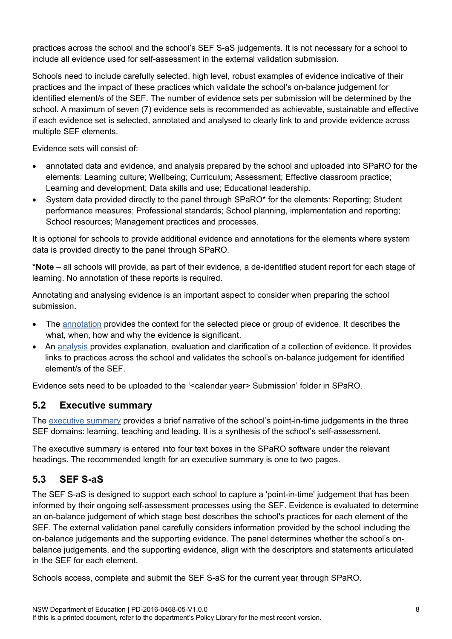practices across the school and the school's SEF S-aS judgements. It is not necessary for a school to include all evidence used for self-assessment in the external validation submission.

Schools need to include carefully selected, high level, robust examples of evidence indicative of their practices and the impact of these practices which validate the school's on-balance judgement for identified element/s of the SEF. The number of evidence sets per submission will be determined by the school. A maximum of seven (7) evidence sets is recommended as achievable, sustainable and effective if each evidence set is selected, annotated and analysed to clearly link to and provide evidence across multiple SEF elements.

Evidence sets will consist of:

- annotated data and evidence, and analysis prepared by the school and uploaded into SPaRO for the elements: Learning culture; Wellbeing; Curriculum; Assessment; Effective classroom practice; Learning and development; Data skills and use; Educational leadership.
- System data provided directly to the panel through SPaRO\* for the elements: Reporting; Student performance measures; Professional standards; School planning, implementation and reporting; School resources; Management practices and processes.

It is optional for schools to provide additional evidence and annotations for the elements where system data is provided directly to the panel through SPaRO.

\***Note** – all schools will provide, as part of their evidence, a de-identified student report for each stage of learning. No annotation of these reports is required.

Annotating and analysing evidence is an important aspect to consider when preparing the school submission.

- The [annotation](https://education.nsw.gov.au/teaching-and-learning/school-excellence-and-accountability/self-assessment/submission-support/annotation) provides the context for the selected piece or group of evidence. It describes the what, when, how and why the evidence is significant.
- An [analysis](https://education.nsw.gov.au/teaching-and-learning/school-excellence-and-accountability/self-assessment/submission-support/analysis) provides explanation, evaluation and clarification of a collection of evidence. It provides links to practices across the school and validates the school's on-balance judgement for identified element/s of the SEF.

Evidence sets need to be uploaded to the '<calendar year> Submission' folder in SPaRO.

#### <span id="page-7-0"></span>**5.2 Executive summary**

The [executive summary](https://education.nsw.gov.au/teaching-and-learning/school-excellence-and-accountability/self-assessment/submission-support/executive-summary) provides a brief narrative of the school's point-in-time judgements in the three SEF domains: learning, teaching and leading. It is a synthesis of the school's self-assessment.

The executive summary is entered into four text boxes in the SPaRO software under the relevant headings. The recommended length for an executive summary is one to two pages.

#### <span id="page-7-1"></span>**5.3 SEF S-aS**

The SEF S-aS is designed to support each school to capture a 'point-in-time' judgement that has been informed by their ongoing self-assessment processes using the SEF. Evidence is evaluated to determine an on-balance judgement of which stage best describes the school's practices for each element of the SEF. The external validation panel carefully considers information provided by the school including the on-balance judgements and the supporting evidence. The panel determines whether the school's onbalance judgements, and the supporting evidence, align with the descriptors and statements articulated in the SEF for each element.

Schools access, complete and submit the SEF S-aS for the current year through SPaRO.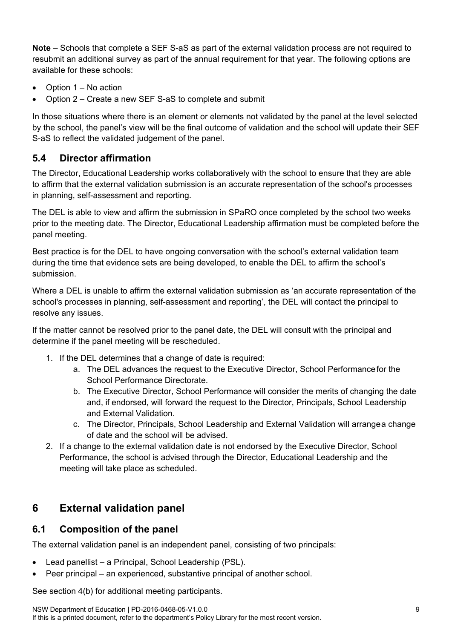**Note** – Schools that complete a SEF S-aS as part of the external validation process are not required to resubmit an additional survey as part of the annual requirement for that year. The following options are available for these schools:

- Option 1 No action
- Option 2 Create a new SEF S-aS to complete and submit

In those situations where there is an element or elements not validated by the panel at the level selected by the school, the panel's view will be the final outcome of validation and the school will update their SEF S-aS to reflect the validated judgement of the panel.

#### <span id="page-8-0"></span>**5.4 Director affirmation**

The Director, Educational Leadership works collaboratively with the school to ensure that they are able to affirm that the external validation submission is an accurate representation of the school's processes in planning, self-assessment and reporting.

The DEL is able to view and affirm the submission in SPaRO once completed by the school two weeks prior to the meeting date. The Director, Educational Leadership affirmation must be completed before the panel meeting.

Best practice is for the DEL to have ongoing conversation with the school's external validation team during the time that evidence sets are being developed, to enable the DEL to affirm the school's submission.

Where a DEL is unable to affirm the external validation submission as 'an accurate representation of the school's processes in planning, self-assessment and reporting', the DEL will contact the principal to resolve any issues.

If the matter cannot be resolved prior to the panel date, the DEL will consult with the principal and determine if the panel meeting will be rescheduled.

- 1. If the DEL determines that a change of date is required:
	- a. The DEL advances the request to the Executive Director, School Performancefor the School Performance Directorate.
	- b. The Executive Director, School Performance will consider the merits of changing the date and, if endorsed, will forward the request to the Director, Principals, School Leadership and External Validation.
	- c. The Director, Principals, School Leadership and External Validation will arrangea change of date and the school will be advised.
- 2. If a change to the external validation date is not endorsed by the Executive Director, School Performance, the school is advised through the Director, Educational Leadership and the meeting will take place as scheduled.

#### <span id="page-8-1"></span>**6 External validation panel**

#### <span id="page-8-2"></span>**6.1 Composition of the panel**

The external validation panel is an independent panel, consisting of two principals:

- Lead panellist a Principal, School Leadership (PSL).
- Peer principal an experienced, substantive principal of another school.

See section 4(b) for additional meeting participants.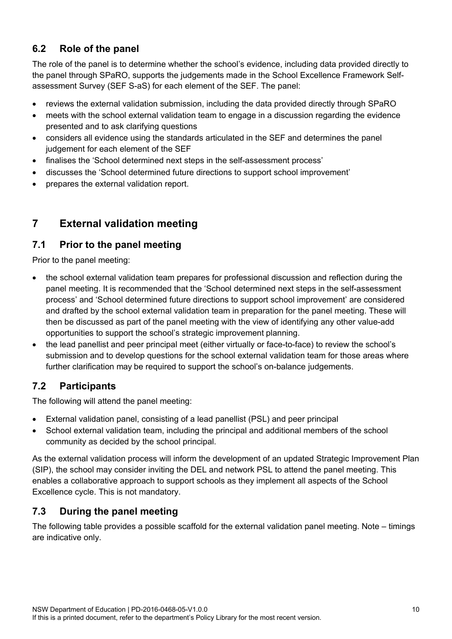#### <span id="page-9-0"></span>**6.2 Role of the panel**

The role of the panel is to determine whether the school's evidence, including data provided directly to the panel through SPaRO, supports the judgements made in the School Excellence Framework Selfassessment Survey (SEF S-aS) for each element of the SEF. The panel:

- reviews the external validation submission, including the data provided directly through SPaRO
- meets with the school external validation team to engage in a discussion regarding the evidence presented and to ask clarifying questions
- considers all evidence using the standards articulated in the SEF and determines the panel judgement for each element of the SEF
- finalises the 'School determined next steps in the self-assessment process'
- discusses the 'School determined future directions to support school improvement'
- <span id="page-9-1"></span>• prepares the external validation report.

## **7 External validation meeting**

#### <span id="page-9-2"></span>**7.1 Prior to the panel meeting**

Prior to the panel meeting:

- the school external validation team prepares for professional discussion and reflection during the panel meeting. It is recommended that the 'School determined next steps in the self-assessment process' and 'School determined future directions to support school improvement' are considered and drafted by the school external validation team in preparation for the panel meeting. These will then be discussed as part of the panel meeting with the view of identifying any other value-add opportunities to support the school's strategic improvement planning.
- the lead panellist and peer principal meet (either virtually or face-to-face) to review the school's submission and to develop questions for the school external validation team for those areas where further clarification may be required to support the school's on-balance judgements.

#### <span id="page-9-3"></span>**7.2 Participants**

The following will attend the panel meeting:

- External validation panel, consisting of a lead panellist (PSL) and peer principal
- School external validation team, including the principal and additional members of the school community as decided by the school principal.

As the external validation process will inform the development of an updated Strategic Improvement Plan (SIP), the school may consider inviting the DEL and network PSL to attend the panel meeting. This enables a collaborative approach to support schools as they implement all aspects of the School Excellence cycle. This is not mandatory.

#### <span id="page-9-4"></span>**7.3 During the panel meeting**

The following table provides a possible scaffold for the external validation panel meeting. Note – timings are indicative only.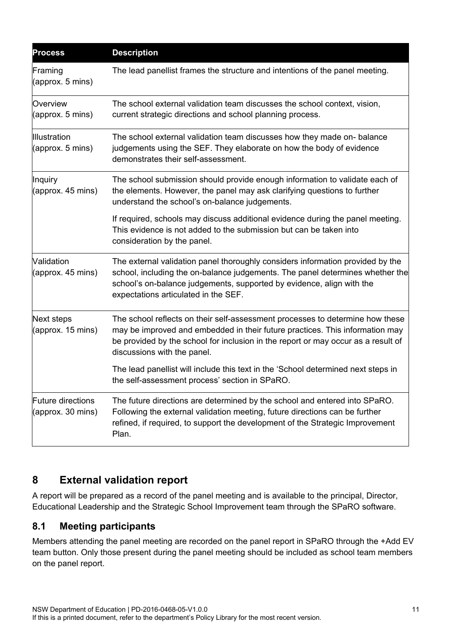| <b>Process</b>                            | <b>Description</b>                                                                                                                                                                                                                                                                |
|-------------------------------------------|-----------------------------------------------------------------------------------------------------------------------------------------------------------------------------------------------------------------------------------------------------------------------------------|
| Framing<br>(approx. 5 mins)               | The lead panellist frames the structure and intentions of the panel meeting.                                                                                                                                                                                                      |
| Overview<br>$\alpha$ (approx. 5 mins)     | The school external validation team discusses the school context, vision,<br>current strategic directions and school planning process.                                                                                                                                            |
| Illustration<br>$\alpha$ (approx. 5 mins) | The school external validation team discusses how they made on-balance<br>judgements using the SEF. They elaborate on how the body of evidence<br>demonstrates their self-assessment.                                                                                             |
| Inquiry<br>(approx. 45 mins)              | The school submission should provide enough information to validate each of<br>the elements. However, the panel may ask clarifying questions to further<br>understand the school's on-balance judgements.                                                                         |
|                                           | If required, schools may discuss additional evidence during the panel meeting.<br>This evidence is not added to the submission but can be taken into<br>consideration by the panel.                                                                                               |
| Validation<br>(approx. 45 mins)           | The external validation panel thoroughly considers information provided by the<br>school, including the on-balance judgements. The panel determines whether the<br>school's on-balance judgements, supported by evidence, align with the<br>expectations articulated in the SEF.  |
| Next steps<br>(approx. 15 mins)           | The school reflects on their self-assessment processes to determine how these<br>may be improved and embedded in their future practices. This information may<br>be provided by the school for inclusion in the report or may occur as a result of<br>discussions with the panel. |
|                                           | The lead panellist will include this text in the 'School determined next steps in<br>the self-assessment process' section in SPaRO.                                                                                                                                               |
| Future directions<br>(approx. 30 mins)    | The future directions are determined by the school and entered into SPaRO.<br>Following the external validation meeting, future directions can be further<br>refined, if required, to support the development of the Strategic Improvement<br>Plan.                               |

## <span id="page-10-0"></span>**8 External validation report**

A report will be prepared as a record of the panel meeting and is available to the principal, Director, Educational Leadership and the Strategic School Improvement team through the SPaRO software.

#### <span id="page-10-1"></span>**8.1 Meeting participants**

Members attending the panel meeting are recorded on the panel report in SPaRO through the +Add EV team button. Only those present during the panel meeting should be included as school team members on the panel report.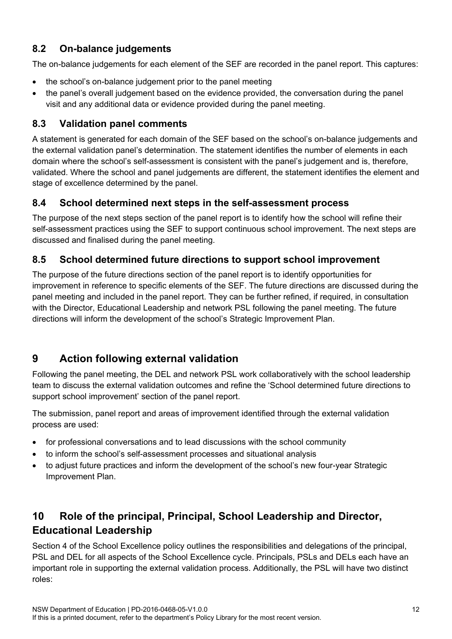#### <span id="page-11-0"></span>**8.2 On-balance judgements**

The on-balance judgements for each element of the SEF are recorded in the panel report. This captures:

- the school's on-balance judgement prior to the panel meeting
- the panel's overall judgement based on the evidence provided, the conversation during the panel visit and any additional data or evidence provided during the panel meeting.

#### <span id="page-11-1"></span>**8.3 Validation panel comments**

A statement is generated for each domain of the SEF based on the school's on-balance judgements and the external validation panel's determination. The statement identifies the number of elements in each domain where the school's self-assessment is consistent with the panel's judgement and is, therefore, validated. Where the school and panel judgements are different, the statement identifies the element and stage of excellence determined by the panel.

#### <span id="page-11-2"></span>**8.4 School determined next steps in the self-assessment process**

The purpose of the next steps section of the panel report is to identify how the school will refine their self-assessment practices using the SEF to support continuous school improvement. The next steps are discussed and finalised during the panel meeting.

#### <span id="page-11-3"></span>**8.5 School determined future directions to support school improvement**

The purpose of the future directions section of the panel report is to identify opportunities for improvement in reference to specific elements of the SEF. The future directions are discussed during the panel meeting and included in the panel report. They can be further refined, if required, in consultation with the Director, Educational Leadership and network PSL following the panel meeting. The future directions will inform the development of the school's Strategic Improvement Plan.

# <span id="page-11-4"></span>**9 Action following external validation**

Following the panel meeting, the DEL and network PSL work collaboratively with the school leadership team to discuss the external validation outcomes and refine the 'School determined future directions to support school improvement' section of the panel report.

The submission, panel report and areas of improvement identified through the external validation process are used:

- for professional conversations and to lead discussions with the school community
- to inform the school's self-assessment processes and situational analysis
- to adjust future practices and inform the development of the school's new four-year Strategic Improvement Plan.

# <span id="page-11-5"></span>**10 Role of the principal, Principal, School Leadership and Director, Educational Leadership**

Section 4 of the School Excellence policy outlines the responsibilities and delegations of the principal, PSL and DEL for all aspects of the School Excellence cycle. Principals, PSLs and DELs each have an important role in supporting the external validation process. Additionally, the PSL will have two distinct roles: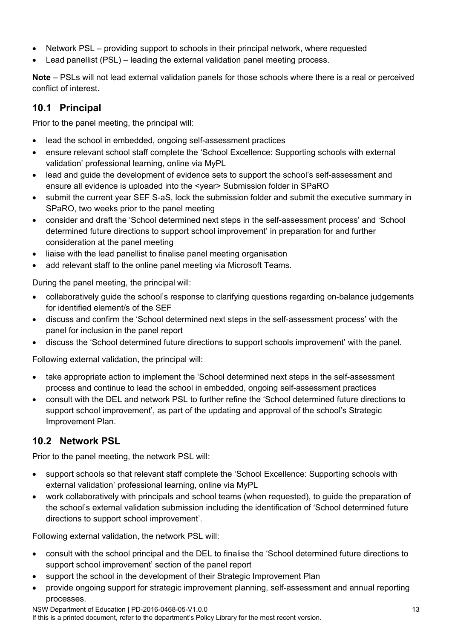- Network PSL providing support to schools in their principal network, where requested
- Lead panellist (PSL) leading the external validation panel meeting process.

**Note** – PSLs will not lead external validation panels for those schools where there is a real or perceived conflict of interest.

#### <span id="page-12-0"></span>**10.1 Principal**

Prior to the panel meeting, the principal will:

- lead the school in embedded, ongoing self-assessment practices
- ensure relevant school staff complete the 'School Excellence: Supporting schools with external validation' professional learning, online via MyPL
- lead and quide the development of evidence sets to support the school's self-assessment and ensure all evidence is uploaded into the <year> Submission folder in SPaRO
- submit the current year SEF S-aS, lock the submission folder and submit the executive summary in SPaRO, two weeks prior to the panel meeting
- consider and draft the 'School determined next steps in the self-assessment process' and 'School determined future directions to support school improvement' in preparation for and further consideration at the panel meeting
- liaise with the lead panellist to finalise panel meeting organisation
- add relevant staff to the online panel meeting via Microsoft Teams.

During the panel meeting, the principal will:

- collaboratively guide the school's response to clarifying questions regarding on-balance judgements for identified element/s of the SEF
- discuss and confirm the 'School determined next steps in the self-assessment process' with the panel for inclusion in the panel report
- discuss the 'School determined future directions to support schools improvement' with the panel.

Following external validation, the principal will:

- take appropriate action to implement the 'School determined next steps in the self-assessment process and continue to lead the school in embedded, ongoing self-assessment practices
- consult with the DEL and network PSL to further refine the 'School determined future directions to support school improvement', as part of the updating and approval of the school's Strategic Improvement Plan.

#### <span id="page-12-1"></span>**10.2 Network PSL**

Prior to the panel meeting, the network PSL will:

- support schools so that relevant staff complete the 'School Excellence: Supporting schools with external validation' professional learning, online via MyPL
- work collaboratively with principals and school teams (when requested), to guide the preparation of the school's external validation submission including the identification of 'School determined future directions to support school improvement'.

Following external validation, the network PSL will:

- consult with the school principal and the DEL to finalise the 'School determined future directions to support school improvement' section of the panel report
- support the school in the development of their Strategic Improvement Plan
- provide ongoing support for strategic improvement planning, self-assessment and annual reporting processes.

NSW Department of Education | PD-2016-0468-05-V1.0.0 13 If this is a printed document, refer to the department's Policy Library for the most recent version.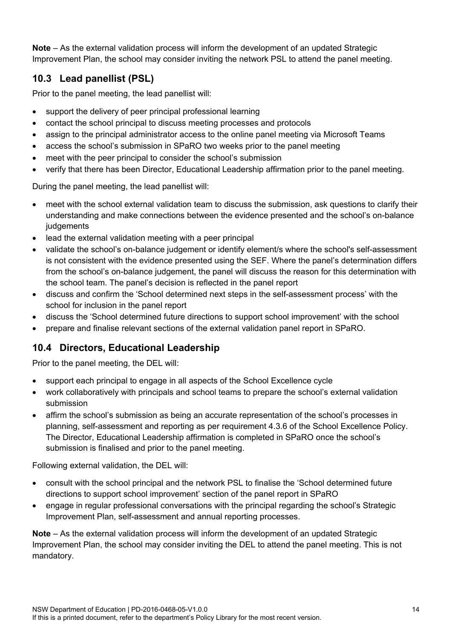**Note** – As the external validation process will inform the development of an updated Strategic Improvement Plan, the school may consider inviting the network PSL to attend the panel meeting.

## <span id="page-13-0"></span>**10.3 Lead panellist (PSL)**

Prior to the panel meeting, the lead panellist will:

- support the delivery of peer principal professional learning
- contact the school principal to discuss meeting processes and protocols
- assign to the principal administrator access to the online panel meeting via Microsoft Teams
- access the school's submission in SPaRO two weeks prior to the panel meeting
- meet with the peer principal to consider the school's submission
- verify that there has been Director, Educational Leadership affirmation prior to the panel meeting.

During the panel meeting, the lead panellist will:

- meet with the school external validation team to discuss the submission, ask questions to clarify their understanding and make connections between the evidence presented and the school's on-balance judgements
- lead the external validation meeting with a peer principal
- validate the school's on-balance judgement or identify element/s where the school's self-assessment is not consistent with the evidence presented using the SEF. Where the panel's determination differs from the school's on-balance judgement, the panel will discuss the reason for this determination with the school team. The panel's decision is reflected in the panel report
- discuss and confirm the 'School determined next steps in the self-assessment process' with the school for inclusion in the panel report
- discuss the 'School determined future directions to support school improvement' with the school
- prepare and finalise relevant sections of the external validation panel report in SPaRO.

#### <span id="page-13-1"></span>**10.4 Directors, Educational Leadership**

Prior to the panel meeting, the DEL will:

- support each principal to engage in all aspects of the School Excellence cycle
- work collaboratively with principals and school teams to prepare the school's external validation submission
- affirm the school's submission as being an accurate representation of the school's processes in planning, self-assessment and reporting as per requirement 4.3.6 of the School Excellence Policy. The Director, Educational Leadership affirmation is completed in SPaRO once the school's submission is finalised and prior to the panel meeting.

Following external validation, the DEL will:

- consult with the school principal and the network PSL to finalise the 'School determined future directions to support school improvement' section of the panel report in SPaRO
- engage in regular professional conversations with the principal regarding the school's Strategic Improvement Plan, self-assessment and annual reporting processes.

**Note** – As the external validation process will inform the development of an updated Strategic Improvement Plan, the school may consider inviting the DEL to attend the panel meeting. This is not mandatory.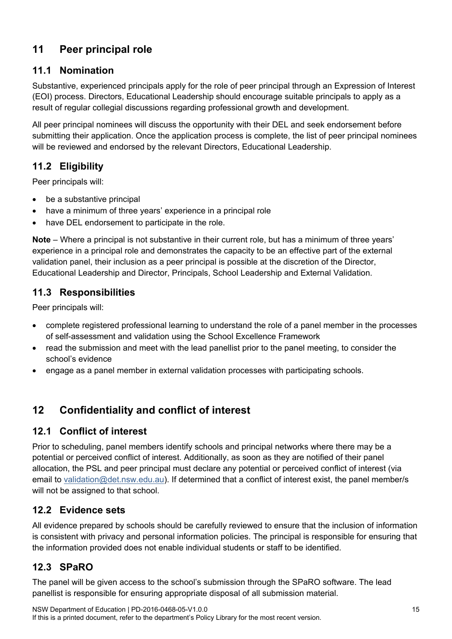# <span id="page-14-0"></span>**11 Peer principal role**

#### <span id="page-14-1"></span>**11.1 Nomination**

Substantive, experienced principals apply for the role of peer principal through an Expression of Interest (EOI) process. Directors, Educational Leadership should encourage suitable principals to apply as a result of regular collegial discussions regarding professional growth and development.

All peer principal nominees will discuss the opportunity with their DEL and seek endorsement before submitting their application. Once the application process is complete, the list of peer principal nominees will be reviewed and endorsed by the relevant Directors, Educational Leadership.

## <span id="page-14-2"></span>**11.2 Eligibility**

Peer principals will:

- be a substantive principal
- have a minimum of three years' experience in a principal role
- have DEL endorsement to participate in the role.

**Note** – Where a principal is not substantive in their current role, but has a minimum of three years' experience in a principal role and demonstrates the capacity to be an effective part of the external validation panel, their inclusion as a peer principal is possible at the discretion of the Director, Educational Leadership and Director, Principals, School Leadership and External Validation.

#### <span id="page-14-3"></span>**11.3 Responsibilities**

Peer principals will:

- complete registered professional learning to understand the role of a panel member in the processes of self-assessment and validation using the School Excellence Framework
- read the submission and meet with the lead panellist prior to the panel meeting, to consider the school's evidence
- <span id="page-14-4"></span>• engage as a panel member in external validation processes with participating schools.

# **12 Confidentiality and conflict of interest**

#### <span id="page-14-5"></span>**12.1 Conflict of interest**

Prior to scheduling, panel members identify schools and principal networks where there may be a potential or perceived conflict of interest. Additionally, as soon as they are notified of their panel allocation, the PSL and peer principal must declare any potential or perceived conflict of interest (via email to [validation@det.nsw.edu.au\)](mailto:validation@det.nsw.edu.au). If determined that a conflict of interest exist, the panel member/s will not be assigned to that school.

#### <span id="page-14-6"></span>**12.2 Evidence sets**

All evidence prepared by schools should be carefully reviewed to ensure that the inclusion of information is consistent with privacy and personal information policies. The principal is responsible for ensuring that the information provided does not enable individual students or staff to be identified.

## <span id="page-14-7"></span>**12.3 SPaRO**

The panel will be given access to the school's submission through the SPaRO software. The lead panellist is responsible for ensuring appropriate disposal of all submission material.